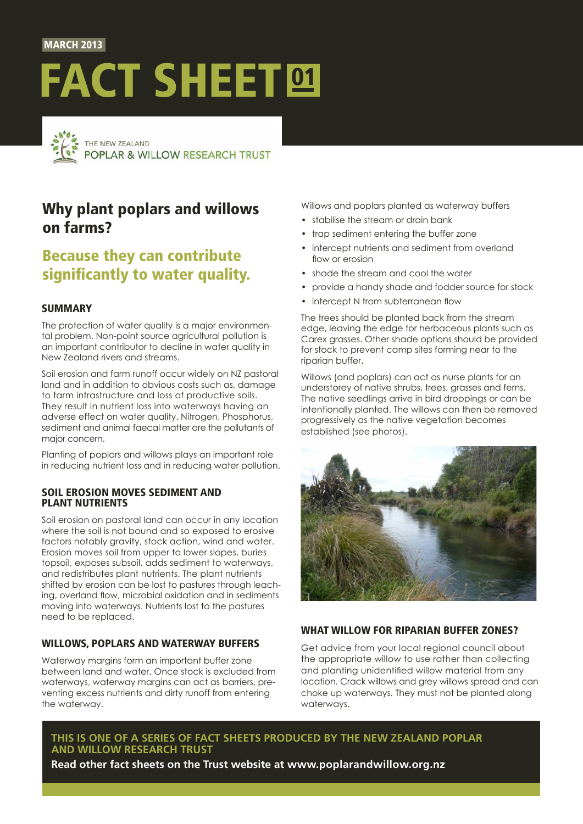#### **MARCH 2013**

# FACT SHEET<sup>®</sup>



# Why plant poplars and willows on farms?

## Because they can contribute significantly to water quality.

### **SUMMARY**

The protection of water quality is a major environmental problem. Non-point source agricultural pollution is an important contributor to decline in water quality in New Zealand rivers and streams.

Soil erosion and farm runoff occur widely on NZ pastoral land and in addition to obvious costs such as, damage to farm infrastructure and loss of productive soils. They result in nutrient loss into waterways having an adverse effect on water quality. Nitrogen, Phosphorus, sediment and animal faecal matter are the pollutants of major concern.

Planting of poplars and willows plays an important role in reducing nutrient loss and in reducing water pollution.

#### Soil erosion moves sediment and plant nutrients

Soil erosion on pastoral land can occur in any location where the soil is not bound and so exposed to erosive factors notably gravity, stock action, wind and water. Erosion moves soil from upper to lower slopes, buries topsoil, exposes subsoil, adds sediment to waterways, and redistributes plant nutrients. The plant nutrients shifted by erosion can be lost to pastures through leaching, overland flow, microbial oxidation and in sediments moving into waterways. Nutrients lost to the pastures need to be replaced.

#### Willows, poplars and waterway buffers

Waterway margins form an important buffer zone between land and water. Once stock is excluded from waterways, waterway margins can act as barriers, preventing excess nutrients and dirty runoff from entering the waterway.

Willows and poplars planted as waterway buffers

- stabilise the stream or drain bank
- trap sediment entering the buffer zone
- intercept nutrients and sediment from overland flow or erosion
- shade the stream and cool the water
- provide a handy shade and fodder source for stock
- intercept N from subterranean flow

The trees should be planted back from the stream edge, leaving the edge for herbaceous plants such as Carex grasses. Other shade options should be provided for stock to prevent camp sites forming near to the riparian buffer.

Willows (and poplars) can act as nurse plants for an understorey of native shrubs, trees, grasses and ferns. The native seedlings arrive in bird droppings or can be intentionally planted. The willows can then be removed progressively as the native vegetation becomes established (see photos).



### WHAT WILLOW FOR RIPARIAN BUFFER ZONES?

Get advice from your local regional council about the appropriate willow to use rather than collecting and planting unidentified willow material from any location. Crack willows and grey willows spread and can choke up waterways. They must not be planted along waterways.

## **This is one of a series of Fact Sheets produced by The New Zealand Poplar and Willow Research Trust**

**Read other fact sheets on the Trust website at [www.poplarandwillow.org.nz](http://www.poplarandwillow.org.nz)**